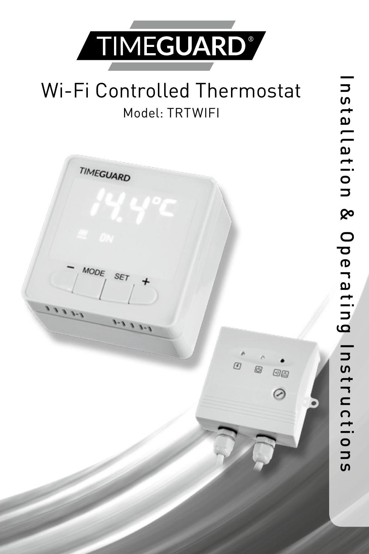

# Wi-Fi Controlled Thermostat Model: TRTWIFI

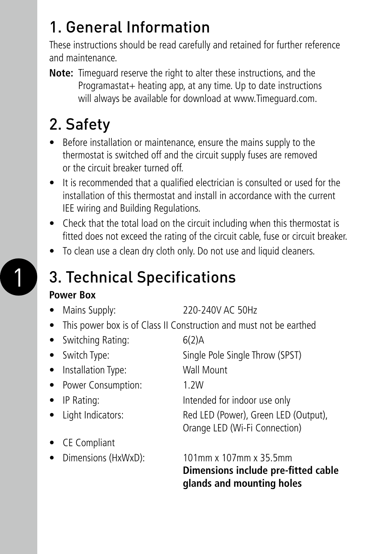## 1. General Information

These instructions should be read carefully and retained for further reference and maintenance.

**Note:** Timeguard reserve the right to alter these instructions, and the Programastat+ heating app, at any time. Up to date instructions will always be available for download at www.Timeguard.com.

# 2. Safety

- Before installation or maintenance, ensure the mains supply to the thermostat is switched off and the circuit supply fuses are removed or the circuit breaker turned off.
- It is recommended that a qualified electrician is consulted or used for the installation of this thermostat and install in accordance with the current IEE wiring and Building Regulations.
- Check that the total load on the circuit including when this thermostat is fitted does not exceed the rating of the circuit cable, fuse or circuit breaker.
- To clean use a clean dry cloth only. Do not use and liquid cleaners.

### 3. Technical Specifications

#### **Power Box**

1

- Mains Supply: 220-240V AC 50Hz
- This power box is of Class II Construction and must not be earthed
- Switching Rating: 6(2)A • Switch Type: Single Pole Single Throw (SPST) • Installation Type: Wall Mount • Power Consumption: 1.2W • IP Rating: Intended for indoor use only • Light Indicators: Red LED (Power), Green LED (Output), Orange LED (Wi-Fi Connection) • CE Compliant • Dimensions (HxWxD): 101mm x 107mm x 35.5mm

**Dimensions include pre-fitted cable glands and mounting holes**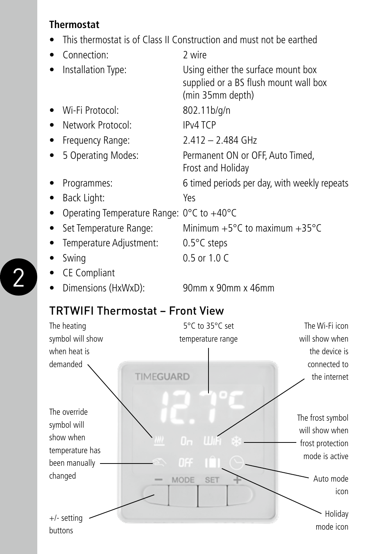#### **Thermostat**

• This thermostat is of Class II Construction and must not be earthed

| Connection:                               | 2 wire                                                                                          |
|-------------------------------------------|-------------------------------------------------------------------------------------------------|
| Installation Type:                        | Using either the surface mount box<br>supplied or a BS flush mount wall box<br>(min 35mm depth) |
| Wi-Fi Protocol:                           | 802.11b/g/n                                                                                     |
| Network Protocol:<br>$\bullet$            | IP <sub>v4</sub> TCP                                                                            |
| • Frequency Range:                        | $2.412 - 2.484$ GHz                                                                             |
| 5 Operating Modes:<br>٠                   | Permanent ON or OFF, Auto Timed,<br>Frost and Holiday                                           |
| Programmes:                               | 6 timed periods per day, with weekly repeats                                                    |
| Back Light:                               | Yes                                                                                             |
| Operating Temperature Range: 0°C to +40°C |                                                                                                 |
| • Set Temperature Range:                  | Minimum $+5^{\circ}$ C to maximum $+35^{\circ}$ C                                               |
| Temperature Adjustment:                   | $0.5^{\circ}$ C steps                                                                           |
| Swing                                     | $0.5$ or $1.0 C$                                                                                |
| <b>CE Compliant</b>                       |                                                                                                 |
| Dimensions (HxWxD):                       | 90mm x 90mm x 46mm                                                                              |

#### TRTWIFI Thermostat – Front View



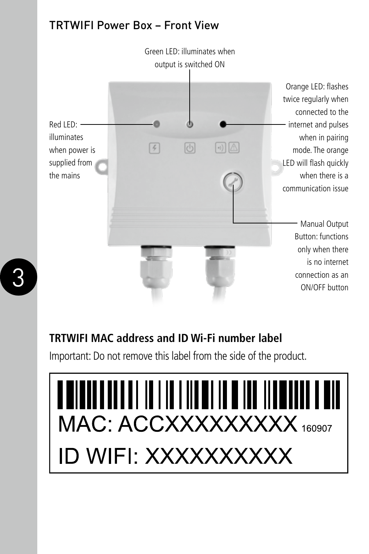#### TRTWIFI Power Box – Front View



#### **TRTWIFI MAC address and ID Wi-Fi number label**

Important: Do not remove this label from the side of the product.

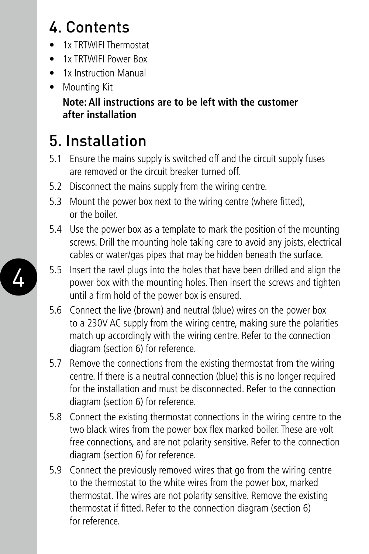# 4. Contents

- 1x TRTWIFI Thermostat
- **1x TRTWIFI Power Box**
- 1x Instruction Manual
- Mounting Kit **Note: All instructions are to be left with the customer after installation**

# 5. Installation

- 5.1 Ensure the mains supply is switched off and the circuit supply fuses are removed or the circuit breaker turned off.
- 5.2 Disconnect the mains supply from the wiring centre.
- 5.3 Mount the power box next to the wiring centre (where fitted), or the boiler.
- 5.4 Use the power box as a template to mark the position of the mounting screws. Drill the mounting hole taking care to avoid any joists, electrical cables or water/gas pipes that may be hidden beneath the surface.
- 4 5.5 Insert the rawl plugs into the holes that have been drilled and align the power box with the mounting holes. Then insert the screws and tighten 5.5 Insert the rawl plugs into the holes that have been drilled and align the until a firm hold of the power box is ensured.
	- 5.6 Connect the live (brown) and neutral (blue) wires on the power box to a 230V AC supply from the wiring centre, making sure the polarities match up accordingly with the wiring centre. Refer to the connection diagram (section 6) for reference.
	- 5.7 Remove the connections from the existing thermostat from the wiring centre. If there is a neutral connection (blue) this is no longer required for the installation and must be disconnected. Refer to the connection diagram (section 6) for reference.
	- 5.8 Connect the existing thermostat connections in the wiring centre to the two black wires from the power box flex marked boiler. These are volt free connections, and are not polarity sensitive. Refer to the connection diagram (section 6) for reference.
	- 5.9 Connect the previously removed wires that go from the wiring centre to the thermostat to the white wires from the power box, marked thermostat. The wires are not polarity sensitive. Remove the existing thermostat if fitted. Refer to the connection diagram (section 6) for reference.

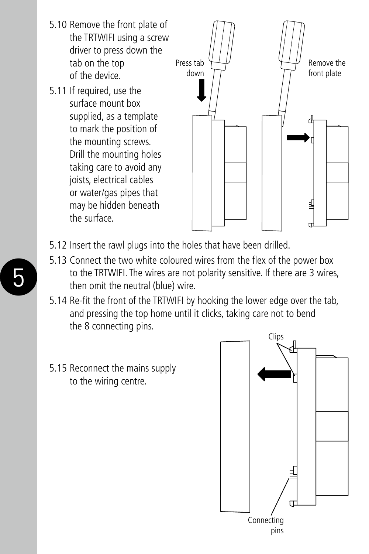- 5.10 Remove the front plate of the TRTWIFI using a screw driver to press down the tab on the top of the device.
- 5.11 If required, use the surface mount box supplied, as a template to mark the position of the mounting screws. Drill the mounting holes taking care to avoid any joists, electrical cables or water/gas pipes that may be hidden beneath the surface.



- 5.12 Insert the rawl plugs into the holes that have been drilled.
- **5** to the TRTWIFI. The wires are not polarity sensitive. If there are 3 wires, then omit the neutral (blue) wire. 5.13 Connect the two white coloured wires from the flex of the power box then omit the neutral (blue) wire.
	- 5.14 Re-fit the front of the TRTWIFI by hooking the lower edge over the tab, and pressing the top home until it clicks, taking care not to bend the 8 connecting pins.
	- 5.15 Reconnect the mains supply to the wiring centre.

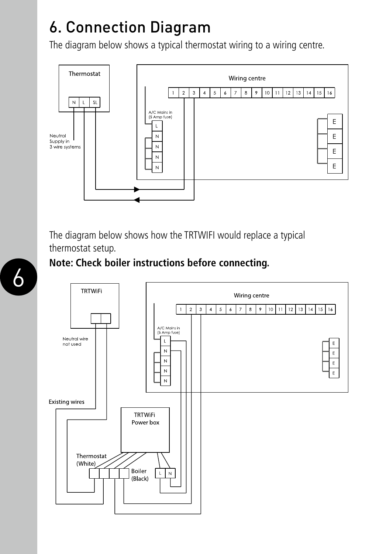## 6. Connection Diagram

The diagram below shows a typical thermostat wiring to a wiring centre.



The diagram below shows how the TRTWIFI would replace a typical thermostat setup.

#### **Note: Check boiler instructions before connecting.**

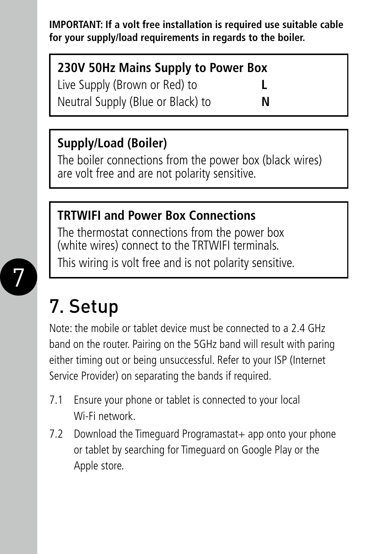**IMPORTANT: If a volt free installation is required use suitable cable for your supply/load requirements in regards to the boiler.**

### **230V 50Hz Mains Supply to Power Box**

Live Supply (Brown or Red) to Neutral Supply (Blue or Black) to **N**

### **Supply/Load (Boiler)**

The boiler connections from the power box (black wires) are volt free and are not polarity sensitive.

### **TRTWIFI and Power Box Connections**

The thermostat connections from the power box (white wires) connect to the TRTWIFI terminals. This wiring is volt free and is not polarity sensitive.



# 7. Setup

Note: the mobile or tablet device must be connected to a 2.4 GHz band on the router. Pairing on the 5GHz band will result with paring either timing out or being unsuccessful. Refer to your ISP (Internet Service Provider) on separating the bands if required.

- 7.1 Ensure your phone or tablet is connected to your local Wi-Fi network.
- 7.2 Download the Timeguard Programastat + app onto your phone or tablet by searching for Timeguard on Google Play or the Apple store.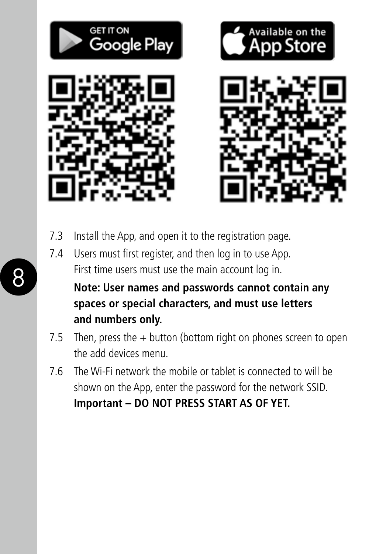

- 7.3 Install the App, and open it to the registration page.
- 7.4 Users must first register, and then log in to use App. First time users must use the main account log in.

8

**Note: User names and passwords cannot contain any spaces or special characters, and must use letters and numbers only.**

- 7.5 Then, press the  $+$  button (bottom right on phones screen to open the add devices menu.
- 7.6 The Wi-Fi network the mobile or tablet is connected to will be shown on the App, enter the password for the network SSID. **Important – DO NOT PRESS START AS OF YET.**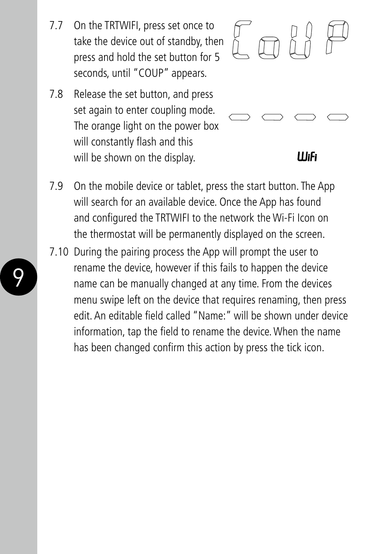- 7.7 On the TRTWIFI, press set once to take the device out of standby, then press and hold the set button for 5 seconds, until "COUP" appears.
- 7.8 Release the set button, and press set again to enter coupling mode. The orange light on the power box will constantly flash and this will be shown on the display.



#### 11 I.C

- 7.9 On the mobile device or tablet, press the start button. The App will search for an available device. Once the App has found and configured the TRTWIFI to the network the Wi-Fi Icon on the thermostat will be permanently displayed on the screen.
- 9 10 name can be manually changed at any time. From the devices 7.10 During the pairing process the App will prompt the user to rename the device, however if this fails to happen the device menu swipe left on the device that requires renaming, then press edit. An editable field called "Name:" will be shown under device information, tap the field to rename the device. When the name has been changed confirm this action by press the tick icon.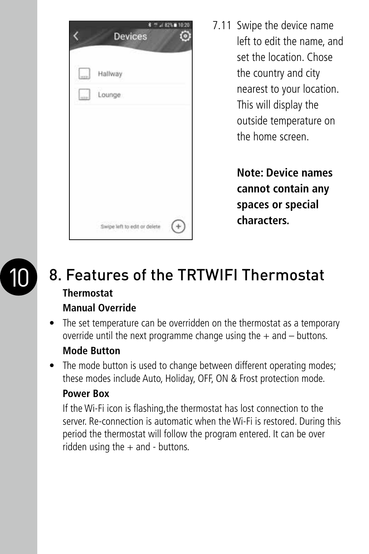|            | <b>Devices</b>               | ופים |
|------------|------------------------------|------|
| Q,         | Hallway                      |      |
| an<br>Hite | Lounge                       |      |
|            |                              |      |
|            |                              |      |
|            |                              |      |
|            |                              |      |
|            | Swipe left to edit or delete |      |

7.11 Swipe the device name left to edit the name, and set the location. Chose the country and city nearest to your location. This will display the outside temperature on the home screen.

> **Note: Device names cannot contain any spaces or special characters.**



#### 8. Features of the TRTWIFI Thermostat **Thermostat Manual Override**

• The set temperature can be overridden on the thermostat as a temporary override until the next programme change using the  $+$  and  $-$  buttons.

#### **Mode Button**

• The mode button is used to change between different operating modes: these modes include Auto, Holiday, OFF, ON & Frost protection mode.

#### **Power Box**

If the Wi-Fi icon is flashing,the thermostat has lost connection to the server. Re-connection is automatic when the Wi-Fi is restored. During this period the thermostat will follow the program entered. It can be over ridden using the  $+$  and  $-$  buttons.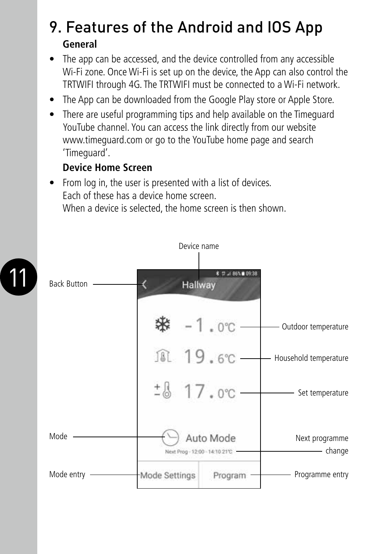### 9. Features of the Android and IOS App **General**

- The app can be accessed, and the device controlled from any accessible Wi-Fi zone. Once Wi-Fi is set up on the device, the App can also control the TRTWIFI through 4G. The TRTWIFI must be connected to a Wi-Fi network.
- The App can be downloaded from the Google Play store or Apple Store.
- There are useful programming tips and help available on the Timeguard YouTube channel. You can access the link directly from our website www.timeguard.com or go to the YouTube home page and search 'Timeguard'.

#### **Device Home Screen**

• From log in, the user is presented with a list of devices. Each of these has a device home screen. When a device is selected, the home screen is then shown.



| Back Button - | 第 12 J 86%■ 09:38<br>Hallway            |                            |
|---------------|-----------------------------------------|----------------------------|
|               | $-1.0^{\circ}$ C -<br>₩                 | Outdoor temperature        |
|               | 風 19.6°C-                               | Household temperature      |
|               | $17.0^{\circ}$ C -                      | Set temperature            |
| Mode          | Auto Mode<br>Next Prog-12:00-14:10 21 C | Next programme<br>- change |
| Mode entry    | Mode Settings<br>Program                | Programme entry            |

Device name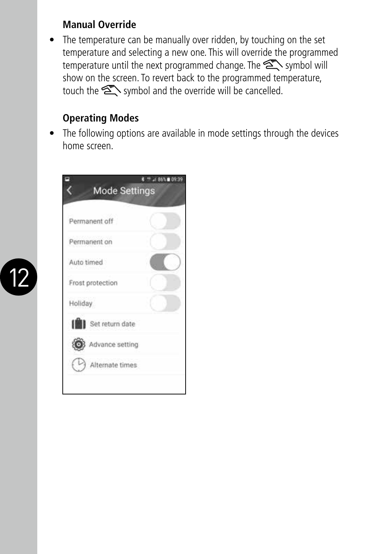#### **Manual Override**

• The temperature can be manually over ridden, by touching on the set temperature and selecting a new one. This will override the programmed temperature until the next programmed change. The  $\sum$  symbol will show on the screen. To revert back to the programmed temperature, touch the  $\sum$  symbol and the override will be cancelled.

#### **Operating Modes**

• The following options are available in mode settings through the devices home screen.

|                          | 86% 8 09:39 |
|--------------------------|-------------|
| <b>Mode Settings</b>     |             |
| Permanent off            |             |
| Permanent on             |             |
| Auto timed               |             |
| Frost protection         |             |
| Holiday                  |             |
| Set return date          |             |
| Advance setting          |             |
| $(\vee)$ Alternate times |             |

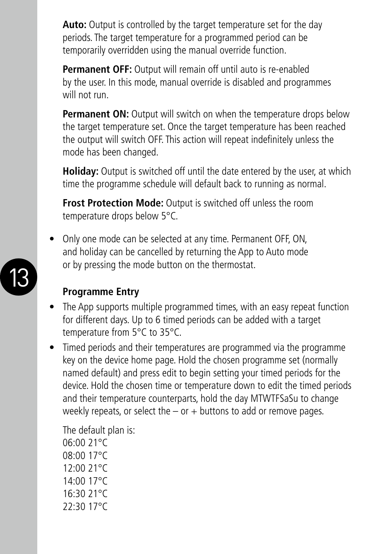**Auto:** Output is controlled by the target temperature set for the day periods. The target temperature for a programmed period can be temporarily overridden using the manual override function.

**Permanent OFF:** Output will remain off until auto is re-enabled by the user. In this mode, manual override is disabled and programmes will not run.

**Permanent ON:** Output will switch on when the temperature drops below the target temperature set. Once the target temperature has been reached the output will switch OFF. This action will repeat indefinitely unless the mode has been changed.

**Holiday:** Output is switched off until the date entered by the user, at which time the programme schedule will default back to running as normal.

**Frost Protection Mode:** Output is switched off unless the room temperature drops below 5°C.

13 **13 DESCRIPTION CONTRACTOR** • Only one mode can be selected at any time. Permanent OFF, ON, and holiday can be cancelled by returning the App to Auto mode or by pressing the mode button on the thermostat.



#### **Programme Entry**

- The App supports multiple programmed times, with an easy repeat function for different days. Up to 6 timed periods can be added with a target temperature from 5°C to 35°C.
- Timed periods and their temperatures are programmed via the programme key on the device home page. Hold the chosen programme set (normally named default) and press edit to begin setting your timed periods for the device. Hold the chosen time or temperature down to edit the timed periods and their temperature counterparts, hold the day MTWTFSaSu to change weekly repeats, or select the  $-$  or  $+$  buttons to add or remove pages.

The default plan is: 06:00 21°C 08:00 17°C 12:00 21°C 14:00 17°C 16:30 21°C 22:30 17°C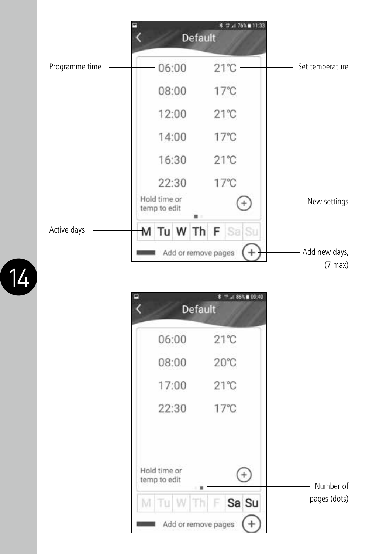

|              | $.186\%$ 8 09:40<br><b>Default</b> |              |
|--------------|------------------------------------|--------------|
| 06:00        | $21^{\circ}$ C                     |              |
| 08:00        | $20^{\circ}$ C                     |              |
| 17:00        | $21^{\circ}$ C                     |              |
| 22:30        | $17^{\circ}$ C                     |              |
| Hold time or |                                    |              |
| temp to edit |                                    | Number of    |
| M<br>TU      | Sa Su<br>Th                        | pages (dots) |
|              | Add or remove pages                |              |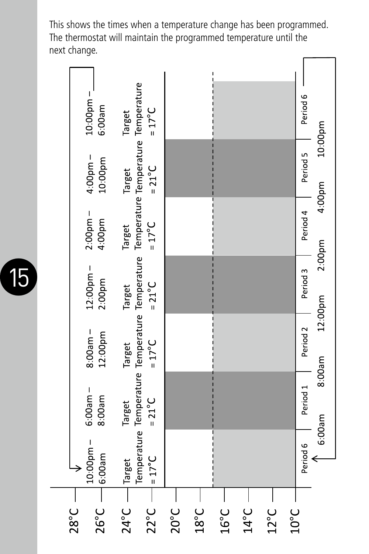This shows the times when a temperature change has been programmed. The thermostat will maintain the programmed temperature until the next change.c

|                | $10:00$ pm $-$<br>6:00am | $=17^{\circ}C$<br>Target                                                                                        |                  |                  |         |                |                |                | Period 6            | 10:00pm |
|----------------|--------------------------|-----------------------------------------------------------------------------------------------------------------|------------------|------------------|---------|----------------|----------------|----------------|---------------------|---------|
|                | $4.00$ pm –<br>10:00pm   | $=21^{\circ}C$<br>Target                                                                                        |                  |                  |         |                |                |                | Period 5            | 4:00pm  |
|                | $2:00$ pm $-$<br>4:00pm  | $=17^{\circ}C$<br>Target                                                                                        |                  |                  |         |                |                |                | Period 4            |         |
|                | $12:00$ pm $-$<br>2:00pm | $=21^{\circ}C$<br>Target                                                                                        |                  |                  |         |                |                |                | Period 3            | 2:00pm  |
|                | $8:00am -$<br>12:00pm    | $=17^{\circ}C$<br>Target                                                                                        |                  |                  |         |                |                |                | Period <sub>2</sub> | 12:00pm |
|                | $6:00$ am $-$<br>8:00am  | Temperature Temperature Temperature Temperature Temperature Temperature Temperature<br>$=21^{\circ}C$<br>Target |                  |                  |         |                |                |                | Period 1            | 8:00am  |
|                | $10:00$ pm -<br>6:00am   | $=17^{\circ}C$<br>Target                                                                                        |                  |                  |         |                |                |                | Period 6            | 6:00am  |
| $28^{\circ}$ C | $26^{\circ}$ C –         | $22^{\circ}$ C –<br>$24^{\circ}$ C –                                                                            | $20^{\circ}$ C – | $18^{\circ}$ C - | ່ ວິ 15 | $14^{\circ}$ C | $12^{\circ}$ C | $10^{\circ}$ C |                     |         |

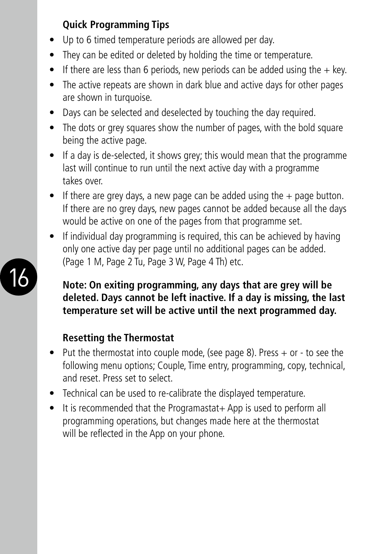#### **Quick Programming Tips**

- Up to 6 timed temperature periods are allowed per day.
- They can be edited or deleted by holding the time or temperature.
- If there are less than 6 periods, new periods can be added using the  $+$  key.
- The active repeats are shown in dark blue and active days for other pages are shown in turquoise.
- Days can be selected and deselected by touching the day required.
- The dots or grey squares show the number of pages, with the bold square being the active page.
- If a day is de-selected, it shows grey; this would mean that the programme last will continue to run until the next active day with a programme takes over.
- If there are grey days, a new page can be added using the  $+$  page button. If there are no grey days, new pages cannot be added because all the days would be active on one of the pages from that programme set.
- If individual day programming is required, this can be achieved by having only one active day per page until no additional pages can be added. (Page 1 M, Page 2 Tu, Page 3 W, Page 4 Th) etc.

#### **Note: On exiting programming, any days that are grey will be deleted. Days cannot be left inactive. If a day is missing, the last temperature set will be active until the next programmed day.**

#### **Resetting the Thermostat**

- Put the thermostat into couple mode, (see page 8). Press + or to see the following menu options; Couple, Time entry, programming, copy, technical, and reset. Press set to select.
- Technical can be used to re-calibrate the displayed temperature.
- It is recommended that the Programastat+ App is used to perform all programming operations, but changes made here at the thermostat will be reflected in the App on your phone.

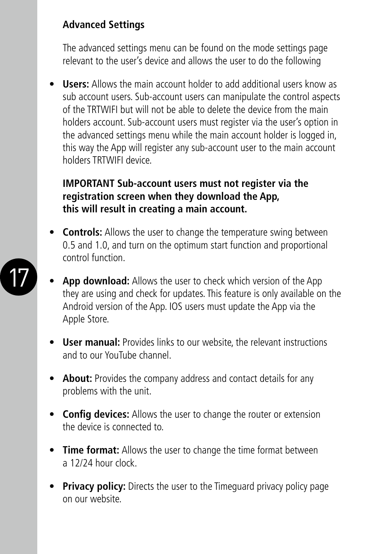#### **Advanced Settings**

17

The advanced settings menu can be found on the mode settings page relevant to the user's device and allows the user to do the following

• **Users:** Allows the main account holder to add additional users know as sub account users. Sub-account users can manipulate the control aspects of the TRTWIFI but will not be able to delete the device from the main holders account. Sub-account users must register via the user's option in the advanced settings menu while the main account holder is logged in, this way the App will register any sub-account user to the main account holders TRTWIFI device.

#### **IMPORTANT Sub-account users must not register via the registration screen when they download the App, this will result in creating a main account.**

- **Controls:** Allows the user to change the temperature swing between 0.5 and 1.0, and turn on the optimum start function and proportional control function.
- **App download:** Allows the user to check which version of the App they are using and check for updates. This feature is only available on the Android version of the App. IOS users must update the App via the Apple Store.
- **User manual:** Provides links to our website, the relevant instructions and to our YouTube channel.
- **About:** Provides the company address and contact details for any problems with the unit.
- **Config devices:** Allows the user to change the router or extension the device is connected to.
- **Time format:** Allows the user to change the time format between a 12/24 hour clock.
- **Privacy policy:** Directs the user to the Timeguard privacy policy page on our website.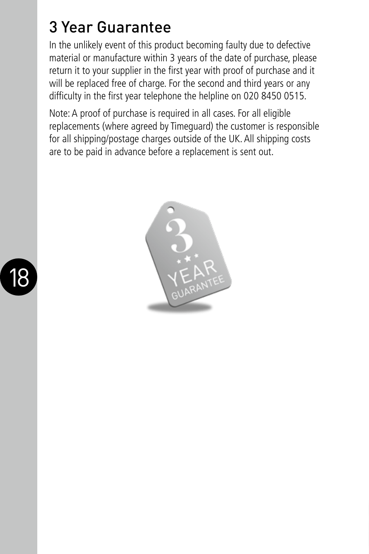## 3 Year Guarantee

In the unlikely event of this product becoming faulty due to defective material or manufacture within 3 years of the date of purchase, please return it to your supplier in the first year with proof of purchase and it will be replaced free of charge. For the second and third years or any difficulty in the first year telephone the helpline on 020 8450 0515.

Note: A proof of purchase is required in all cases. For all eligible replacements (where agreed by Timeguard) the customer is responsible for all shipping/postage charges outside of the UK. All shipping costs are to be paid in advance before a replacement is sent out.